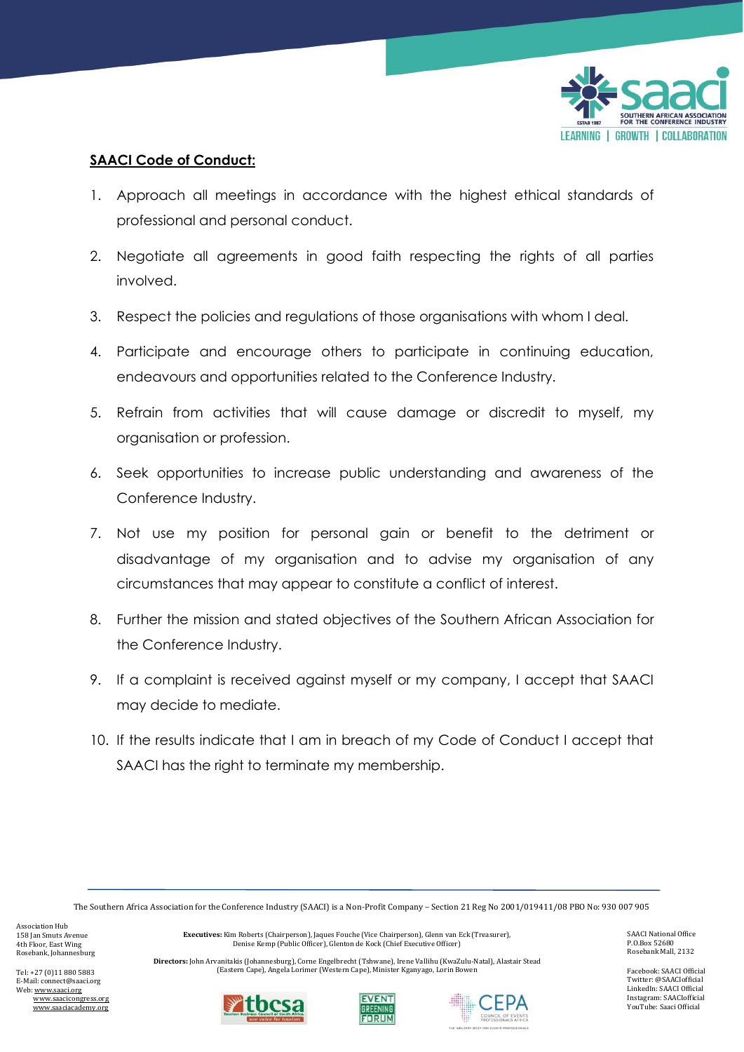

## **SAACI Code of Conduct:**

- 1. Approach all meetings in accordance with the highest ethical standards of professional and personal conduct.
- 2. Negotiate all agreements in good faith respecting the rights of all parties involved.
- 3. Respect the policies and regulations of those organisations with whom I deal.
- 4. Participate and encourage others to participate in continuing education, endeavours and opportunities related to the Conference Industry.
- 5. Refrain from activities that will cause damage or discredit to myself, my organisation or profession.
- 6. Seek opportunities to increase public understanding and awareness of the Conference Industry.
- 7. Not use my position for personal gain or benefit to the detriment or disadvantage of my organisation and to advise my organisation of any circumstances that may appear to constitute a conflict of interest.
- 8. Further the mission and stated objectives of the Southern African Association for the Conference Industry.
- 9. If a complaint is received against myself or my company, I accept that SAACI may decide to mediate.
- 10. If the results indicate that I am in breach of my Code of Conduct I accept that SAACI has the right to terminate my membership.

The Southern Africa Association for the Conference Industry (SAACI) is a Non-Profit Company – Section 21 Reg No 2001/019411/08 PBO No: 930 007 905

Association Hub 158 Jan Smuts Avenue 4th Floor, East Wing Rosebank, Johannesburg

Tel: +27 (0)11 880 5883 E-Mail: connect@saaci.org Web[: www.saaci.org](http://www.saaci.org/) www.saacicongress.org www.saaciacademy.org **Executives:** Kim Roberts (Chairperson), Jaques Fouche (Vice Chairperson), Glenn van Eck (Treasurer), Denise Kemp (Public Officer), Glenton de Kock (Chief Executive Officer)

**Directors:** John Arvanitakis (Johannesburg), Corne Engelbrecht (Tshwane), Irene Vallihu (KwaZulu-Natal), Alastair Stead (Eastern Cape), Angela Lorimer (Western Cape), Minister Kganyago, Lorin Bowen







SAACI National Office P.O.Box 52680 Rosebank Mall, 2132

Facebook: SAACI Official Twitter: @SAACIofficial LinkedIn: SAACI Official Instagram: SAACIofficial YouTube: Saaci Official